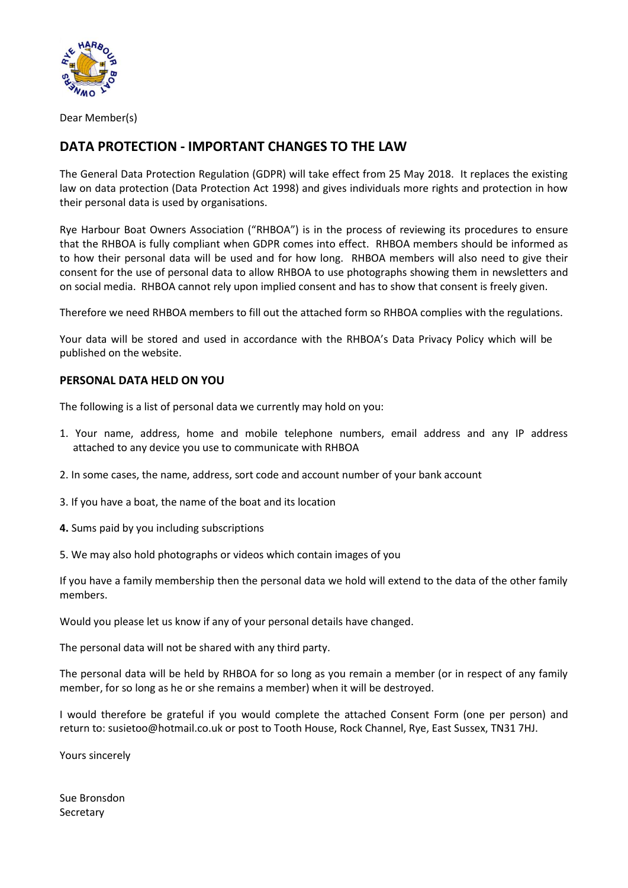

Dear Member(s)

## **DATA PROTECTION - IMPORTANT CHANGES TO THE LAW**

The General Data Protection Regulation (GDPR) will take effect from 25 May 2018. It replaces the existing law on data protection (Data Protection Act 1998) and gives individuals more rights and protection in how their personal data is used by organisations.

Rye Harbour Boat Owners Association ("RHBOA") is in the process of reviewing its procedures to ensure that the RHBOA is fully compliant when GDPR comes into effect. RHBOA members should be informed as to how their personal data will be used and for how long. RHBOA members will also need to give their consent for the use of personal data to allow RHBOA to use photographs showing them in newsletters and on social media. RHBOA cannot rely upon implied consent and has to show that consent is freely given.

Therefore we need RHBOA members to fill out the attached form so RHBOA complies with the regulations.

Your data will be stored and used in accordance with the RHBOA's Data Privacy Policy which will be published on the website.

## **PERSONAL DATA HELD ON YOU**

The following is a list of personal data we currently may hold on you:

- 1. Your name, address, home and mobile telephone numbers, email address and any IP address attached to any device you use to communicate with RHBOA
- 2. In some cases, the name, address, sort code and account number of your bank account
- 3. If you have a boat, the name of the boat and its location
- **4.** Sums paid by you including subscriptions
- 5. We may also hold photographs or videos which contain images of you

If you have a family membership then the personal data we hold will extend to the data of the other family members.

Would you please let us know if any of your personal details have changed.

The personal data will not be shared with any third party.

The personal data will be held by RHBOA for so long as you remain a member (or in respect of any family member, for so long as he or she remains a member) when it will be destroyed.

I would therefore be grateful if you would complete the attached Consent Form (one per person) and return to: susietoo@hotmail.co.uk or post to Tooth House, Rock Channel, Rye, East Sussex, TN31 7HJ.

Yours sincerely

Sue Bronsdon Secretary